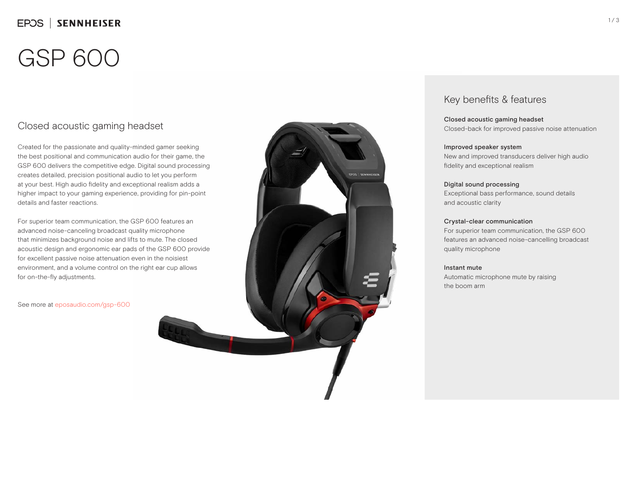# GSP 600

## Closed acoustic gaming headset

Created for the passionate and quality-minded gamer seeking the best positional and communication audio for their game, the GSP 600 delivers the competitive edge. Digital sound processing creates detailed, precision positional audio to let you perform at your best. High audio fidelity and exceptional realism adds a higher impact to your gaming experience, providing for pin-point details and faster reactions.

For superior team communication, the GSP 600 features an advanced noise-canceling broadcast quality microphone that minimizes background noise and lifts to mute. The closed acoustic design and ergonomic ear pads of the GSP 600 provide for excellent passive noise attenuation even in the noisiest environment, and a volume control on the right ear cup allows for on-the-fly adjustments.

See more at eposaudio.com/gsp-600



### Key benefits & features

Closed acoustic gaming headset Closed-back for improved passive noise attenuation

### Improved speaker system

New and improved transducers deliver high audio fidelity and exceptional realism

### Digital sound processing

Exceptional bass performance, sound details and acoustic clarity

### Crystal-clear communication

For superior team communication, the GSP 600 features an advanced noise-cancelling broadcast quality microphone

### Instant mute

Automatic microphone mute by raising the boom arm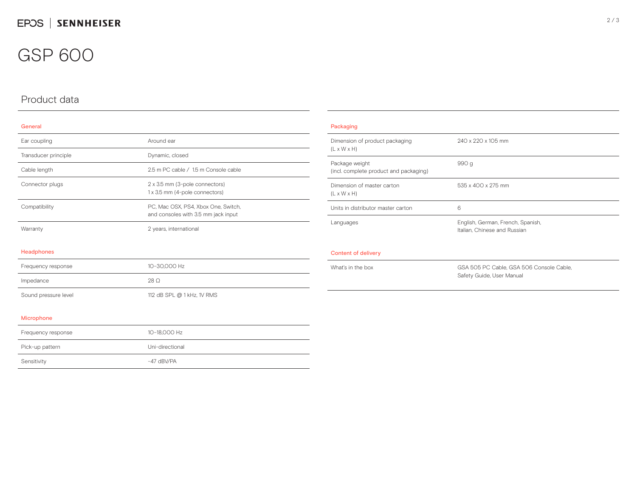## GSP 600

## Product data

### General

| Ear coupling         | Around ear                                                                 |  |
|----------------------|----------------------------------------------------------------------------|--|
| Transducer principle | Dynamic, closed                                                            |  |
| Cable length         | 2.5 m PC cable / 1.5 m Console cable                                       |  |
| Connector plugs      | 2 x 3.5 mm (3-pole connectors)<br>1 x 3.5 mm (4-pole connectors)           |  |
| Compatibility        | PC, Mac OSX, PS4, Xbox One, Switch,<br>and consoles with 3.5 mm jack input |  |
| Warranty             | 2 years, international                                                     |  |
| Headphones           |                                                                            |  |
| Frequency response   | 10-30,000 Hz                                                               |  |
| Impedance            | 28 O                                                                       |  |
| Sound pressure level | 112 dB SPL @ 1 kHz, 1V RMS                                                 |  |

| Packaging                                                 |                                                                       |
|-----------------------------------------------------------|-----------------------------------------------------------------------|
| Dimension of product packaging<br>$(L \times W \times H)$ | 240 x 220 x 105 mm                                                    |
| Package weight<br>(incl. complete product and packaging)  | 990 g                                                                 |
| Dimension of master carton<br>$(L \times W \times H)$     | 535 x 400 x 275 mm                                                    |
| Units in distributor master carton                        | 6                                                                     |
| Languages                                                 | English, German, French, Spanish,<br>Italian, Chinese and Russian     |
| Content of delivery                                       |                                                                       |
| What's in the box                                         | GSA 505 PC Cable, GSA 506 Console Cable,<br>Safety Guide, User Manual |

#### Microphone

| Frequency response | 10-18.000 Hz    |
|--------------------|-----------------|
| Pick-up pattern    | Uni-directional |
| Sensitivity        | $-47$ dBV/PA    |